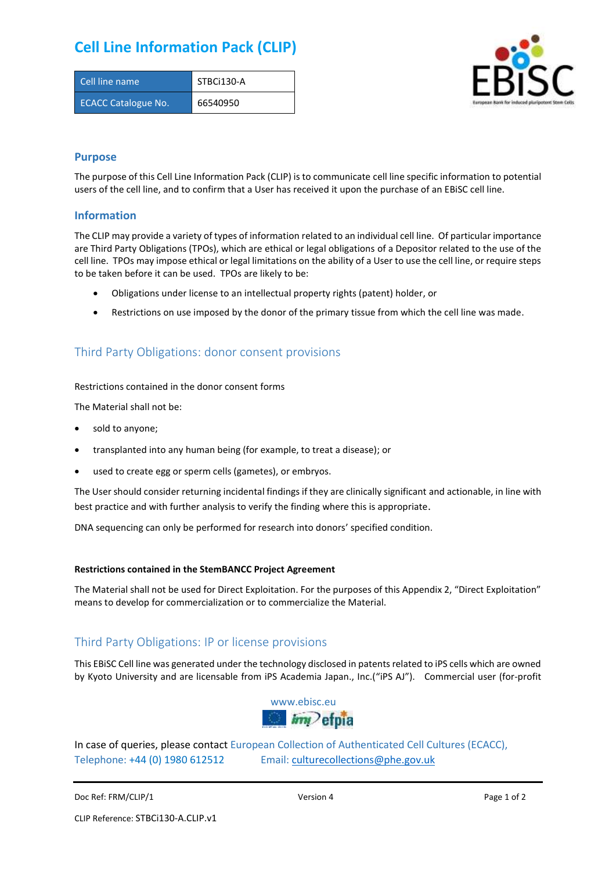# **Cell Line Information Pack (CLIP)**

| Cell line name             | STBCi130-A |
|----------------------------|------------|
| <b>ECACC Catalogue No.</b> | 66540950   |



### **Purpose**

The purpose of this Cell Line Information Pack (CLIP) is to communicate cell line specific information to potential users of the cell line, and to confirm that a User has received it upon the purchase of an EBiSC cell line.

### **Information**

The CLIP may provide a variety of types of information related to an individual cell line. Of particular importance are Third Party Obligations (TPOs), which are ethical or legal obligations of a Depositor related to the use of the cell line. TPOs may impose ethical or legal limitations on the ability of a User to use the cell line, or require steps to be taken before it can be used. TPOs are likely to be:

- Obligations under license to an intellectual property rights (patent) holder, or
- Restrictions on use imposed by the donor of the primary tissue from which the cell line was made.

## Third Party Obligations: donor consent provisions

#### Restrictions contained in the donor consent forms

The Material shall not be:

- sold to anyone;
- transplanted into any human being (for example, to treat a disease); or
- used to create egg or sperm cells (gametes), or embryos.

The User should consider returning incidental findings if they are clinically significant and actionable, in line with best practice and with further analysis to verify the finding where this is appropriate.

DNA sequencing can only be performed for research into donors' specified condition.

#### **Restrictions contained in the StemBANCC Project Agreement**

The Material shall not be used for Direct Exploitation. For the purposes of this Appendix 2, "Direct Exploitation" means to develop for commercialization or to commercialize the Material.

## Third Party Obligations: IP or license provisions

This EBiSC Cell line was generated under the technology disclosed in patents related to iPS cells which are owned by Kyoto University and are licensable from iPS Academia Japan., Inc.("iPS AJ"). Commercial user (for-profit



In case of queries, please contact European Collection of Authenticated Cell Cultures (ECACC), Telephone: +44 (0) 1980 612512 Email: [culturecollections@phe.gov.uk](mailto:culturecollections@phe.gov.uk)

Doc Ref: FRM/CLIP/1 **Docessition 2** Page 1 of 2